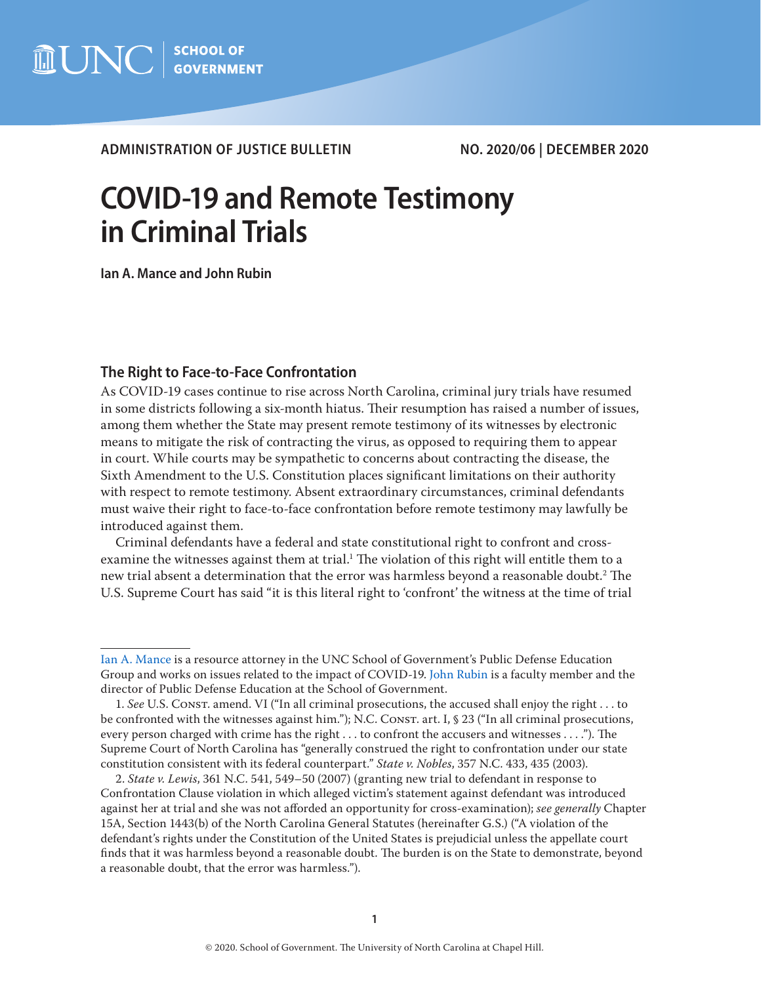

**ADMINISTRATION OF JUSTICE BULLETIN NO. 2020/06 | DECEMBER 2020**

# **COVID-19 and Remote Testimony in Criminal Trials**

**Ian A. Mance and John Rubin**

## **The Right to Face-to-Face Confrontation**

As COVID-19 cases continue to rise across North Carolina, criminal jury trials have resumed in some districts following a six-month hiatus. Their resumption has raised a number of issues, among them whether the State may present remote testimony of its witnesses by electronic means to mitigate the risk of contracting the virus, as opposed to requiring them to appear in court. While courts may be sympathetic to concerns about contracting the disease, the Sixth Amendment to the U.S. Constitution places significant limitations on their authority with respect to remote testimony. Absent extraordinary circumstances, criminal defendants must waive their right to face-to-face confrontation before remote testimony may lawfully be introduced against them.

Criminal defendants have a federal and state constitutional right to confront and crossexamine the witnesses against them at trial. $^1$  The violation of this right will entitle them to a new trial absent a determination that the error was harmless beyond a reasonable doubt.2 The U.S. Supreme Court has said "it is this literal right to 'confront' the witness at the time of trial

[Ian A. Mance](https://www.sog.unc.edu/about/faculty-and-staff/ian-mance) is a resource attorney in the UNC School of Government's Public Defense Education Group and works on issues related to the impact of COVID-19. [John Rubin](https://www.sog.unc.edu/about/faculty-and-staff/john-rubin) is a faculty member and the director of Public Defense Education at the School of Government.

<sup>1.</sup> *See* U.S. Const. amend. VI ("In all criminal prosecutions, the accused shall enjoy the right . . . to be confronted with the witnesses against him."); N.C. CONST. art. I, § 23 ("In all criminal prosecutions, every person charged with crime has the right . . . to confront the accusers and witnesses . . . ."). The Supreme Court of North Carolina has "generally construed the right to confrontation under our state constitution consistent with its federal counterpart." *State v. Nobles*, 357 N.C. 433, 435 (2003).

<sup>2.</sup> *State v. Lewis*, 361 N.C. 541, 549–50 (2007) (granting new trial to defendant in response to Confrontation Clause violation in which alleged victim's statement against defendant was introduced against her at trial and she was not afforded an opportunity for cross-examination); *see generally* Chapter 15A, Section 1443(b) of the North Carolina General Statutes (hereinafter G.S.) ("A violation of the defendant's rights under the Constitution of the United States is prejudicial unless the appellate court finds that it was harmless beyond a reasonable doubt. The burden is on the State to demonstrate, beyond a reasonable doubt, that the error was harmless.").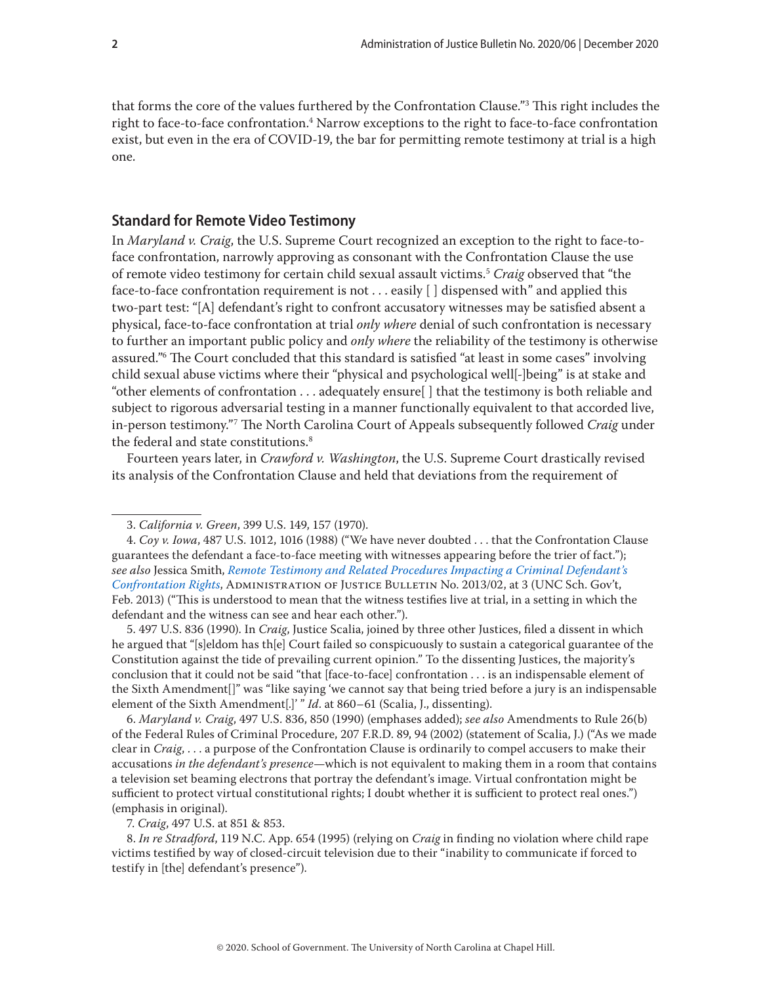that forms the core of the values furthered by the Confrontation Clause."3 This right includes the right to face-to-face confrontation.<sup>4</sup> Narrow exceptions to the right to face-to-face confrontation exist, but even in the era of COVID-19, the bar for permitting remote testimony at trial is a high one.

#### **Standard for Remote Video Testimony**

In *Maryland v. Craig*, the U.S. Supreme Court recognized an exception to the right to face-toface confrontation, narrowly approving as consonant with the Confrontation Clause the use of remote video testimony for certain child sexual assault victims.5 *Craig* observed that "the face-to-face confrontation requirement is not . . . easily [ ] dispensed with" and applied this two-part test: "[A] defendant's right to confront accusatory witnesses may be satisfied absent a physical, face-to-face confrontation at trial *only where* denial of such confrontation is necessary to further an important public policy and *only where* the reliability of the testimony is otherwise assured."6 The Court concluded that this standard is satisfied "at least in some cases" involving child sexual abuse victims where their "physical and psychological well[-]being" is at stake and "other elements of confrontation . . . adequately ensure[ ] that the testimony is both reliable and subject to rigorous adversarial testing in a manner functionally equivalent to that accorded live, in-person testimony."7 The North Carolina Court of Appeals subsequently followed *Craig* under the federal and state constitutions.<sup>8</sup>

Fourteen years later, in *Crawford v. Washington*, the U.S. Supreme Court drastically revised its analysis of the Confrontation Clause and held that deviations from the requirement of

5. 497 U.S. 836 (1990). In *Craig*, Justice Scalia, joined by three other Justices, filed a dissent in which he argued that "[s]eldom has th[e] Court failed so conspicuously to sustain a categorical guarantee of the Constitution against the tide of prevailing current opinion." To the dissenting Justices, the majority's conclusion that it could not be said "that [face-to-face] confrontation . . . is an indispensable element of the Sixth Amendment[]" was "like saying 'we cannot say that being tried before a jury is an indispensable element of the Sixth Amendment[.]' " *Id*. at 860–61 (Scalia, J., dissenting).

6. *Maryland v. Craig*, 497 U.S. 836, 850 (1990) (emphases added); *see also* Amendments to Rule 26(b) of the Federal Rules of Criminal Procedure, 207 F.R.D. 89, 94 (2002) (statement of Scalia, J.) ("As we made clear in *Craig*, . . . a purpose of the Confrontation Clause is ordinarily to compel accusers to make their accusations *in the defendant's presence*—which is not equivalent to making them in a room that contains a television set beaming electrons that portray the defendant's image. Virtual confrontation might be sufficient to protect virtual constitutional rights; I doubt whether it is sufficient to protect real ones.") (emphasis in original).

7. *Craig*, 497 U.S. at 851 & 853.

8. *In re Stradford*, 119 N.C. App. 654 (1995) (relying on *Craig* in finding no violation where child rape victims testified by way of closed-circuit television due to their "inability to communicate if forced to testify in [the] defendant's presence").

<sup>3.</sup> *California v. Green*, 399 U.S. 149, 157 (1970).

<sup>4.</sup> *Coy v. Iowa*, 487 U.S. 1012, 1016 (1988) ("We have never doubted . . . that the Confrontation Clause guarantees the defendant a face-to-face meeting with witnesses appearing before the trier of fact."); *see also* Jessica Smith, *[Remote Testimony and Related Procedures Impacting a Criminal Defendant's](https://www.sog.unc.edu/sites/www.sog.unc.edu/files/reports/aojb1302.pdf)  [Confrontation Rights](https://www.sog.unc.edu/sites/www.sog.unc.edu/files/reports/aojb1302.pdf)*, Administration of Justice Bulletin No. 2013/02, at 3 (UNC Sch. Gov't, Feb. 2013) ("This is understood to mean that the witness testifies live at trial, in a setting in which the defendant and the witness can see and hear each other.").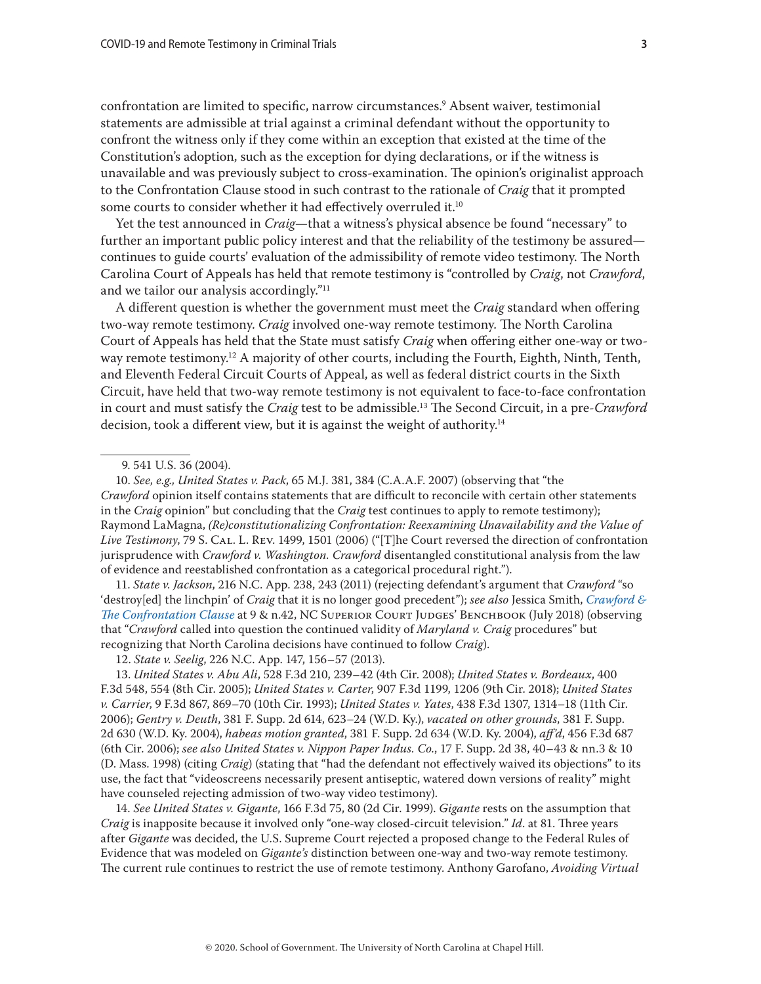confrontation are limited to specific, narrow circumstances.9 Absent waiver, testimonial statements are admissible at trial against a criminal defendant without the opportunity to confront the witness only if they come within an exception that existed at the time of the Constitution's adoption, such as the exception for dying declarations, or if the witness is unavailable and was previously subject to cross-examination. The opinion's originalist approach to the Confrontation Clause stood in such contrast to the rationale of *Craig* that it prompted some courts to consider whether it had effectively overruled it.<sup>10</sup>

Yet the test announced in *Craig*—that a witness's physical absence be found "necessary" to further an important public policy interest and that the reliability of the testimony be assured continues to guide courts' evaluation of the admissibility of remote video testimony. The North Carolina Court of Appeals has held that remote testimony is "controlled by *Craig*, not *Crawford*, and we tailor our analysis accordingly."<sup>11</sup>

A different question is whether the government must meet the *Craig* standard when offering two-way remote testimony. *Craig* involved one-way remote testimony. The North Carolina Court of Appeals has held that the State must satisfy *Craig* when offering either one-way or twoway remote testimony.12 A majority of other courts, including the Fourth, Eighth, Ninth, Tenth, and Eleventh Federal Circuit Courts of Appeal, as well as federal district courts in the Sixth Circuit, have held that two-way remote testimony is not equivalent to face-to-face confrontation in court and must satisfy the *Craig* test to be admissible.13 The Second Circuit, in a pre-*Crawford* decision, took a different view, but it is against the weight of authority.<sup>14</sup>

9. 541 U.S. 36 (2004).

10. *See, e.g., United States v. Pack*, 65 M.J. 381, 384 (C.A.A.F. 2007) (observing that "the *Crawford* opinion itself contains statements that are difficult to reconcile with certain other statements in the *Craig* opinion" but concluding that the *Craig* test continues to apply to remote testimony); Raymond LaMagna, *(Re)constitutionalizing Confrontation: Reexamining Unavailability and the Value of Live Testimony*, 79 S. Cal. L. Rev. 1499, 1501 (2006) ("[T]he Court reversed the direction of confrontation jurisprudence with *Crawford v. Washington. Crawford* disentangled constitutional analysis from the law of evidence and reestablished confrontation as a categorical procedural right.").

11. *State v. Jackson*, 216 N.C. App. 238, 243 (2011) (rejecting defendant's argument that *Crawford* "so 'destroy[ed] the linchpin' of *Craig* that it is no longer good precedent"); *see also* Jessica Smith, *[Crawford &](https://benchbook.sog.unc.edu/evidence/guide-crawford-confrontation-clause)  [The Confrontation Clause](https://benchbook.sog.unc.edu/evidence/guide-crawford-confrontation-clause)* at 9 & n.42, NC Superior Court Judges' Benchbook (July 2018) (observing that "*Crawford* called into question the continued validity of *Maryland v. Craig* procedures" but recognizing that North Carolina decisions have continued to follow *Craig*).

12. *State v. Seelig*, 226 N.C. App. 147, 156–57 (2013).

13. *United States v. Abu Ali*, 528 F.3d 210, 239–42 (4th Cir. 2008); *United States v. Bordeaux*, 400 F.3d 548, 554 (8th Cir. 2005); *United States v. Carter*, 907 F.3d 1199, 1206 (9th Cir. 2018); *United States v. Carrier*, 9 F.3d 867, 869–70 (10th Cir. 1993); *United States v. Yates*, 438 F.3d 1307, 1314–18 (11th Cir. 2006); *Gentry v. Deuth*, 381 F. Supp. 2d 614, 623–24 (W.D. Ky.), *vacated on other grounds*, 381 F. Supp. 2d 630 (W.D. Ky. 2004), *habeas motion granted*, 381 F. Supp. 2d 634 (W.D. Ky. 2004), *aff'd*, 456 F.3d 687 (6th Cir. 2006); *see also United States v. Nippon Paper Indus. Co.*, 17 F. Supp. 2d 38, 40–43 & nn.3 & 10 (D. Mass. 1998) (citing *Craig*) (stating that "had the defendant not effectively waived its objections" to its use, the fact that "videoscreens necessarily present antiseptic, watered down versions of reality" might have counseled rejecting admission of two-way video testimony).

14. *See United States v. Gigante*, 166 F.3d 75, 80 (2d Cir. 1999). *Gigante* rests on the assumption that *Craig* is inapposite because it involved only "one-way closed-circuit television." *Id*. at 81. Three years after *Gigante* was decided, the U.S. Supreme Court rejected a proposed change to the Federal Rules of Evidence that was modeled on *Gigante's* distinction between one-way and two-way remote testimony. The current rule continues to restrict the use of remote testimony. Anthony Garofano, *Avoiding Virtual*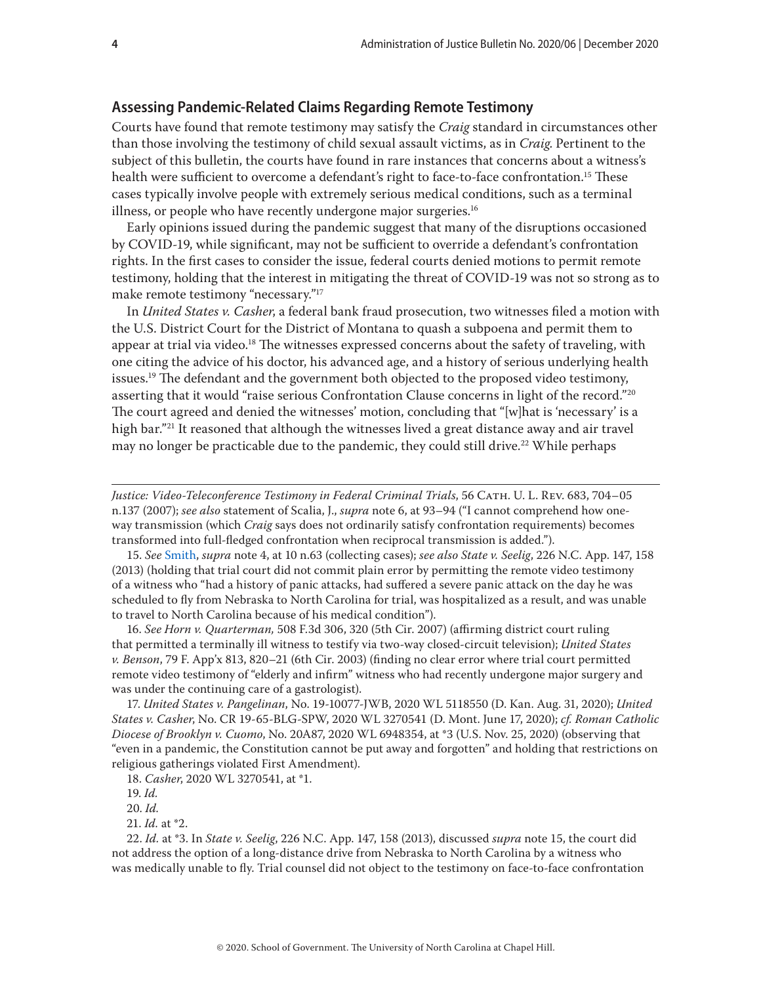#### **Assessing Pandemic-Related Claims Regarding Remote Testimony**

Courts have found that remote testimony may satisfy the *Craig* standard in circumstances other than those involving the testimony of child sexual assault victims, as in *Craig*. Pertinent to the subject of this bulletin, the courts have found in rare instances that concerns about a witness's health were sufficient to overcome a defendant's right to face-to-face confrontation.<sup>15</sup> These cases typically involve people with extremely serious medical conditions, such as a terminal illness, or people who have recently undergone major surgeries.<sup>16</sup>

Early opinions issued during the pandemic suggest that many of the disruptions occasioned by COVID-19, while significant, may not be sufficient to override a defendant's confrontation rights. In the first cases to consider the issue, federal courts denied motions to permit remote testimony, holding that the interest in mitigating the threat of COVID-19 was not so strong as to make remote testimony "necessary."17

In *United States v. Casher*, a federal bank fraud prosecution, two witnesses filed a motion with the U.S. District Court for the District of Montana to quash a subpoena and permit them to appear at trial via video.<sup>18</sup> The witnesses expressed concerns about the safety of traveling, with one citing the advice of his doctor, his advanced age, and a history of serious underlying health issues.<sup>19</sup> The defendant and the government both objected to the proposed video testimony, asserting that it would "raise serious Confrontation Clause concerns in light of the record."20 The court agreed and denied the witnesses' motion, concluding that "[w]hat is 'necessary' is a high bar."<sup>21</sup> It reasoned that although the witnesses lived a great distance away and air travel may no longer be practicable due to the pandemic, they could still drive.<sup>22</sup> While perhaps

*Justice: Video-Teleconference Testimony in Federal Criminal Trials*, 56 Cath. U. L. Rev. 683, 704–05 n.137 (2007); *see also* statement of Scalia, J., *supra* note 6, at 93–94 ("I cannot comprehend how oneway transmission (which *Craig* says does not ordinarily satisfy confrontation requirements) becomes transformed into full-fledged confrontation when reciprocal transmission is added.").

15. *See* [Smith,](https://www.sog.unc.edu/sites/www.sog.unc.edu/files/reports/aojb1302.pdf) *supra* note 4, at 10 n.63 (collecting cases); *see also State v. Seelig*, 226 N.C. App. 147, 158 (2013) (holding that trial court did not commit plain error by permitting the remote video testimony of a witness who "had a history of panic attacks, had suffered a severe panic attack on the day he was scheduled to fly from Nebraska to North Carolina for trial, was hospitalized as a result, and was unable to travel to North Carolina because of his medical condition").

16. *See Horn v. Quarterman,* 508 F.3d 306, 320 (5th Cir. 2007) (affirming district court ruling that permitted a terminally ill witness to testify via two-way closed-circuit television); *United States v. Benson*, 79 F. App'x 813, 820–21 (6th Cir. 2003) (finding no clear error where trial court permitted remote video testimony of "elderly and infirm" witness who had recently undergone major surgery and was under the continuing care of a gastrologist).

17. *United States v. Pangelinan*, No. 19-10077-JWB, 2020 WL 5118550 (D. Kan. Aug. 31, 2020); *United States v. Casher*, No. CR 19-65-BLG-SPW, 2020 WL 3270541 (D. Mont. June 17, 2020); *cf. Roman Catholic Diocese of Brooklyn v. Cuomo*, No. 20A87, 2020 WL 6948354, at \*3 (U.S. Nov. 25, 2020) (observing that "even in a pandemic, the Constitution cannot be put away and forgotten" and holding that restrictions on religious gatherings violated First Amendment).

21. *Id.* at \*2.

22. *Id.* at \*3. In *State v. Seelig*, 226 N.C. App. 147, 158 (2013), discussed *supra* note 15, the court did not address the option of a long-distance drive from Nebraska to North Carolina by a witness who was medically unable to fly. Trial counsel did not object to the testimony on face-to-face confrontation

<sup>18.</sup> *Casher*, 2020 WL 3270541, at \*1.

<sup>19.</sup> *Id.*

<sup>20.</sup> *Id.*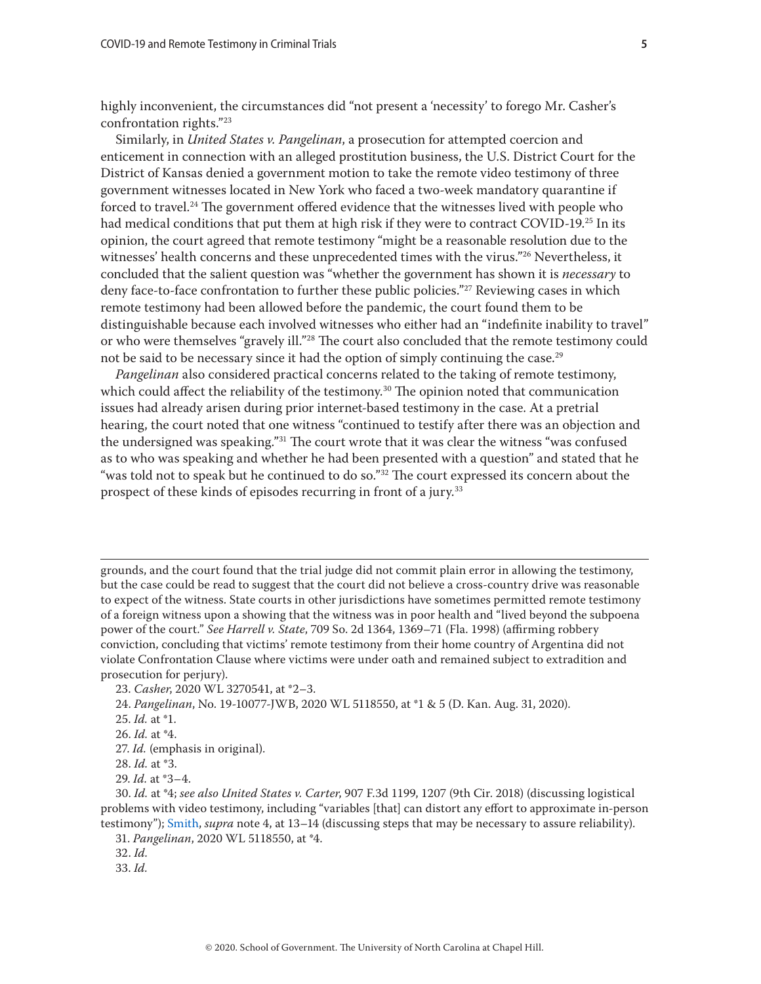highly inconvenient, the circumstances did "not present a 'necessity' to forego Mr. Casher's confrontation rights."23

Similarly, in *United States v. Pangelinan*, a prosecution for attempted coercion and enticement in connection with an alleged prostitution business, the U.S. District Court for the District of Kansas denied a government motion to take the remote video testimony of three government witnesses located in New York who faced a two-week mandatory quarantine if forced to travel.24 The government offered evidence that the witnesses lived with people who had medical conditions that put them at high risk if they were to contract COVID-19.<sup>25</sup> In its opinion, the court agreed that remote testimony "might be a reasonable resolution due to the witnesses' health concerns and these unprecedented times with the virus."<sup>26</sup> Nevertheless, it concluded that the salient question was "whether the government has shown it is *necessary* to deny face-to-face confrontation to further these public policies."<sup>27</sup> Reviewing cases in which remote testimony had been allowed before the pandemic, the court found them to be distinguishable because each involved witnesses who either had an "indefinite inability to travel" or who were themselves "gravely ill."<sup>28</sup> The court also concluded that the remote testimony could not be said to be necessary since it had the option of simply continuing the case.<sup>29</sup>

*Pangelinan* also considered practical concerns related to the taking of remote testimony, which could affect the reliability of the testimony.<sup>30</sup> The opinion noted that communication issues had already arisen during prior internet-based testimony in the case. At a pretrial hearing, the court noted that one witness "continued to testify after there was an objection and the undersigned was speaking."<sup>31</sup> The court wrote that it was clear the witness "was confused as to who was speaking and whether he had been presented with a question" and stated that he "was told not to speak but he continued to do so."<sup>32</sup> The court expressed its concern about the prospect of these kinds of episodes recurring in front of a jury.<sup>33</sup>

grounds, and the court found that the trial judge did not commit plain error in allowing the testimony, but the case could be read to suggest that the court did not believe a cross-country drive was reasonable to expect of the witness. State courts in other jurisdictions have sometimes permitted remote testimony of a foreign witness upon a showing that the witness was in poor health and "lived beyond the subpoena power of the court." *See Harrell v. State*, 709 So. 2d 1364, 1369–71 (Fla. 1998) (affirming robbery conviction, concluding that victims' remote testimony from their home country of Argentina did not violate Confrontation Clause where victims were under oath and remained subject to extradition and prosecution for perjury).

28. *Id.* at \*3.

- 31. *Pangelinan*, 2020 WL 5118550, at \*4.
- 32. *Id.*

<sup>23.</sup> *Casher*, 2020 WL 3270541, at \*2–3.

<sup>24.</sup> *Pangelinan*, No. 19-10077-JWB, 2020 WL 5118550, at \*1 & 5 (D. Kan. Aug. 31, 2020).

<sup>25.</sup> *Id.* at \*1.

<sup>26.</sup> *Id.* at \*4.

<sup>27.</sup> *Id.* (emphasis in original).

<sup>29.</sup> *Id.* at \*3–4.

<sup>30.</sup> *Id.* at \*4; *see also United States v. Carter*, 907 F.3d 1199, 1207 (9th Cir. 2018) (discussing logistical problems with video testimony, including "variables [that] can distort any effort to approximate in-person testimony"); [Smith](https://www.sog.unc.edu/sites/www.sog.unc.edu/files/reports/aojb1302.pdf), *supra* note 4, at 13–14 (discussing steps that may be necessary to assure reliability).

<sup>33.</sup> *Id.*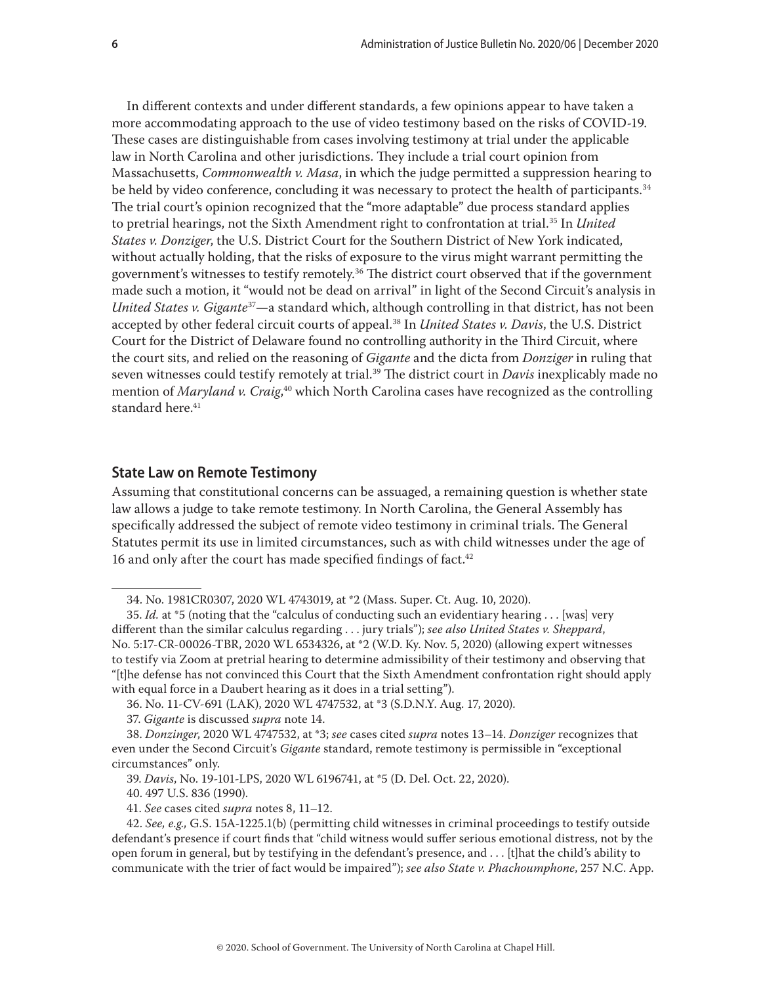In different contexts and under different standards, a few opinions appear to have taken a more accommodating approach to the use of video testimony based on the risks of COVID-19. These cases are distinguishable from cases involving testimony at trial under the applicable law in North Carolina and other jurisdictions. They include a trial court opinion from Massachusetts, *Commonwealth v. Masa*, in which the judge permitted a suppression hearing to be held by video conference, concluding it was necessary to protect the health of participants.<sup>34</sup> The trial court's opinion recognized that the "more adaptable" due process standard applies to pretrial hearings, not the Sixth Amendment right to confrontation at trial.35 In *United States v. Donziger*, the U.S. District Court for the Southern District of New York indicated, without actually holding, that the risks of exposure to the virus might warrant permitting the government's witnesses to testify remotely.<sup>36</sup> The district court observed that if the government made such a motion, it "would not be dead on arrival" in light of the Second Circuit's analysis in *United States v. Gigante*37—a standard which, although controlling in that district, has not been accepted by other federal circuit courts of appeal.<sup>38</sup> In *United States v. Davis*, the U.S. District Court for the District of Delaware found no controlling authority in the Third Circuit, where the court sits, and relied on the reasoning of *Gigante* and the dicta from *Donziger* in ruling that seven witnesses could testify remotely at trial.<sup>39</sup> The district court in *Davis* inexplicably made no mention of *Maryland v. Craig*, 40 which North Carolina cases have recognized as the controlling standard here.<sup>41</sup>

#### **State Law on Remote Testimony**

Assuming that constitutional concerns can be assuaged, a remaining question is whether state law allows a judge to take remote testimony. In North Carolina, the General Assembly has specifically addressed the subject of remote video testimony in criminal trials. The General Statutes permit its use in limited circumstances, such as with child witnesses under the age of 16 and only after the court has made specified findings of fact.<sup>42</sup>

40. 497 U.S. 836 (1990).

41. *See* cases cited *supra* notes 8, 11–12.

<sup>34.</sup> No. 1981CR0307, 2020 WL 4743019, at \*2 (Mass. Super. Ct. Aug. 10, 2020).

<sup>35.</sup> *Id.* at \*5 (noting that the "calculus of conducting such an evidentiary hearing . . . [was] very different than the similar calculus regarding . . . jury trials"); *see also United States v. Sheppard*, No. 5:17-CR-00026-TBR, 2020 WL 6534326, at \*2 (W.D. Ky. Nov. 5, 2020) (allowing expert witnesses to testify via Zoom at pretrial hearing to determine admissibility of their testimony and observing that "[t]he defense has not convinced this Court that the Sixth Amendment confrontation right should apply with equal force in a Daubert hearing as it does in a trial setting").

<sup>36.</sup> No. 11-CV-691 (LAK), 2020 WL 4747532, at \*3 (S.D.N.Y. Aug. 17, 2020).

<sup>37.</sup> *Gigante* is discussed *supra* note 14.

<sup>38.</sup> *Donzinger*, 2020 WL 4747532, at \*3; *see* cases cited *supra* notes 13–14. *Donziger* recognizes that even under the Second Circuit's *Gigante* standard, remote testimony is permissible in "exceptional circumstances" only.

<sup>39.</sup> *Davis*, No. 19-101-LPS, 2020 WL 6196741, at \*5 (D. Del. Oct. 22, 2020).

<sup>42.</sup> *See, e.g.,* G.S. 15A-1225.1(b) (permitting child witnesses in criminal proceedings to testify outside defendant's presence if court finds that "child witness would suffer serious emotional distress, not by the open forum in general, but by testifying in the defendant's presence, and . . . [t]hat the child's ability to communicate with the trier of fact would be impaired"); *see also State v. Phachoumphone*, 257 N.C. App.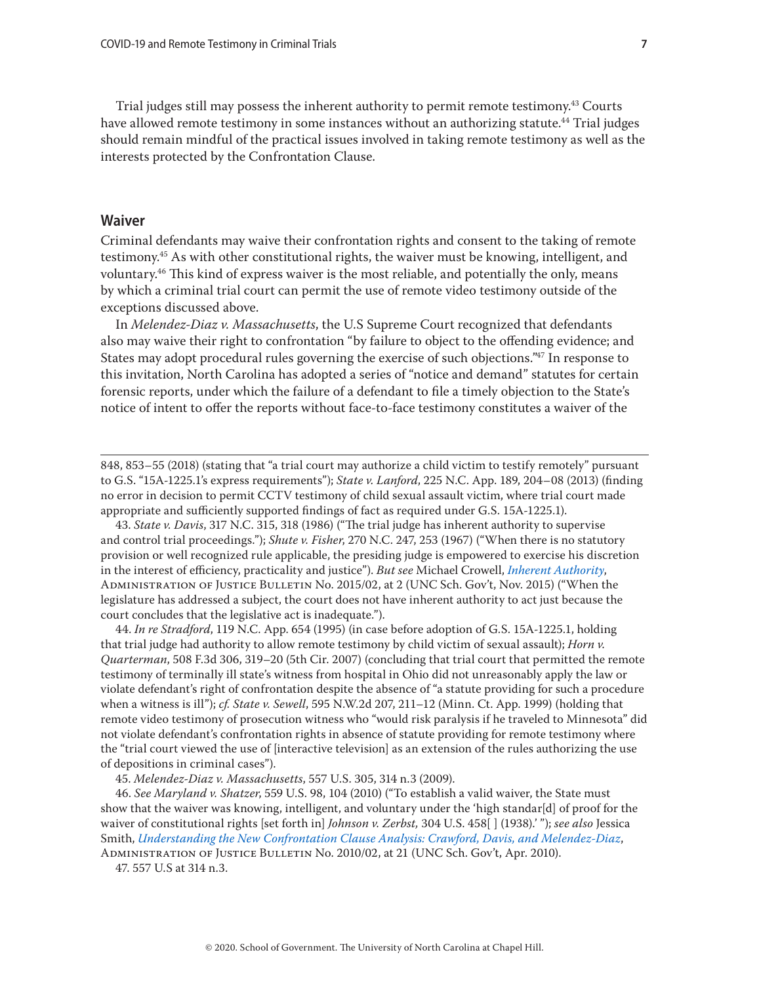Trial judges still may possess the inherent authority to permit remote testimony.<sup>43</sup> Courts have allowed remote testimony in some instances without an authorizing statute.<sup>44</sup> Trial judges should remain mindful of the practical issues involved in taking remote testimony as well as the interests protected by the Confrontation Clause.

### **Waiver**

Criminal defendants may waive their confrontation rights and consent to the taking of remote testimony.45 As with other constitutional rights, the waiver must be knowing, intelligent, and voluntary.<sup>46</sup> This kind of express waiver is the most reliable, and potentially the only, means by which a criminal trial court can permit the use of remote video testimony outside of the exceptions discussed above.

In *Melendez-Diaz v. Massachusetts*, the U.S Supreme Court recognized that defendants also may waive their right to confrontation "by failure to object to the offending evidence; and States may adopt procedural rules governing the exercise of such objections."47 In response to this invitation, North Carolina has adopted a series of "notice and demand" statutes for certain forensic reports, under which the failure of a defendant to file a timely objection to the State's notice of intent to offer the reports without face-to-face testimony constitutes a waiver of the

43. *State v. Davis*, 317 N.C. 315, 318 (1986) ("The trial judge has inherent authority to supervise and control trial proceedings."); *Shute v. Fisher*, 270 N.C. 247, 253 (1967) ("When there is no statutory provision or well recognized rule applicable, the presiding judge is empowered to exercise his discretion in the interest of efficiency, practicality and justice"). *But see* Michael Crowell, *[Inherent Authority](https://www.sog.unc.edu/sites/www.sog.unc.edu/files/reports/2015-11-04%2020151000%20AOJB%202015-02%20Inherent%20Authority_Crowell.pdf)*, Administration of Justice Bulletin No. 2015/02, at 2 (UNC Sch. Gov't, Nov. 2015) ("When the legislature has addressed a subject, the court does not have inherent authority to act just because the court concludes that the legislative act is inadequate.").

44. *In re Stradford*, 119 N.C. App. 654 (1995) (in case before adoption of G.S. 15A-1225.1, holding that trial judge had authority to allow remote testimony by child victim of sexual assault); *Horn v. Quarterman*, 508 F.3d 306, 319–20 (5th Cir. 2007) (concluding that trial court that permitted the remote testimony of terminally ill state's witness from hospital in Ohio did not unreasonably apply the law or violate defendant's right of confrontation despite the absence of "a statute providing for such a procedure when a witness is ill"); *cf. State v. Sewell*, 595 N.W.2d 207, 211–12 (Minn. Ct. App. 1999) (holding that remote video testimony of prosecution witness who "would risk paralysis if he traveled to Minnesota" did not violate defendant's confrontation rights in absence of statute providing for remote testimony where the "trial court viewed the use of [interactive television] as an extension of the rules authorizing the use of depositions in criminal cases").

45. *Melendez-Diaz v. Massachusetts*, 557 U.S. 305, 314 n.3 (2009).

46. *See Maryland v. Shatzer*, 559 U.S. 98, 104 (2010) ("To establish a valid waiver, the State must show that the waiver was knowing, intelligent, and voluntary under the 'high standar[d] of proof for the waiver of constitutional rights [set forth in] *Johnson v. Zerbst,* 304 U.S. 458[ ] (1938).' "); *see also* Jessica Smith, *[Understanding the New Confrontation Clause Analysis: Crawford, Davis, and Melendez-Diaz](https://www.sog.unc.edu/sites/www.sog.unc.edu/files/reports/aojb1002.pdf)*, Administration of Justice Bulletin No. 2010/02, at 21 (UNC Sch. Gov't, Apr. 2010).

47. 557 U.S at 314 n.3.

<sup>848, 853–55 (2018) (</sup>stating that "a trial court may authorize a child victim to testify remotely" pursuant to G.S. "15A-1225.1's express requirements"); *State v. Lanford*, 225 N.C. App. 189, 204–08 (2013) (finding no error in decision to permit CCTV testimony of child sexual assault victim, where trial court made appropriate and sufficiently supported findings of fact as required under G.S. 15A-1225.1).